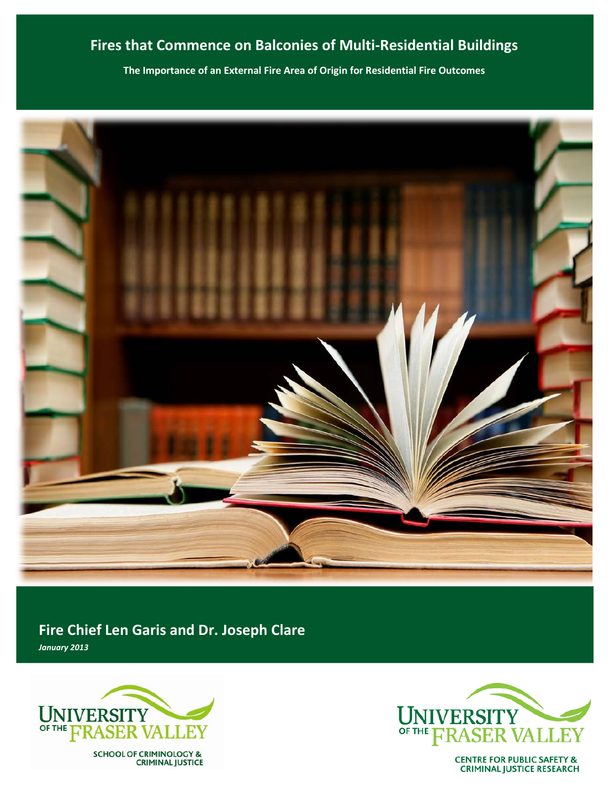# **Fires that Commence on Balconies of Multi-Residential Buildings**

**The Importance of an External Fire Area of Origin for Residential Fire Outcomes**



# **Fire Chief Len Garis and Dr. Joseph Clare**

*January 2013*



SCHOOL OF CRIMINOLOGY &<br>CRIMINAL JUSTICE



**CENTRE FOR PUBLIC SAFETY & CRIMINAL JUSTICE RESEARCH**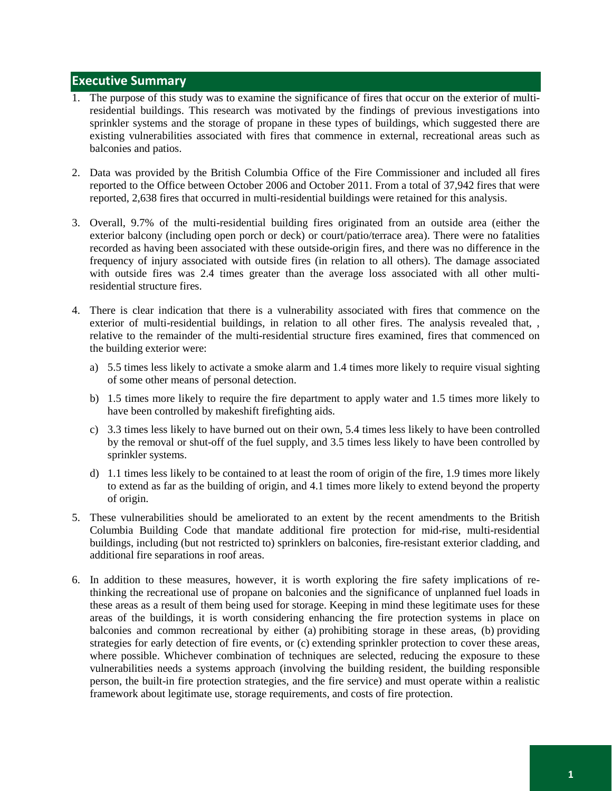### **Executive Summary**

- 1. The purpose of this study was to examine the significance of fires that occur on the exterior of multiresidential buildings. This research was motivated by the findings of previous investigations into sprinkler systems and the storage of propane in these types of buildings, which suggested there are existing vulnerabilities associated with fires that commence in external, recreational areas such as balconies and patios.
- 2. Data was provided by the British Columbia Office of the Fire Commissioner and included all fires reported to the Office between October 2006 and October 2011. From a total of 37,942 fires that were reported, 2,638 fires that occurred in multi-residential buildings were retained for this analysis.
- 3. Overall, 9.7% of the multi-residential building fires originated from an outside area (either the exterior balcony (including open porch or deck) or court/patio/terrace area). There were no fatalities recorded as having been associated with these outside-origin fires, and there was no difference in the frequency of injury associated with outside fires (in relation to all others). The damage associated with outside fires was 2.4 times greater than the average loss associated with all other multiresidential structure fires.
- 4. There is clear indication that there is a vulnerability associated with fires that commence on the exterior of multi-residential buildings, in relation to all other fires. The analysis revealed that, , relative to the remainder of the multi-residential structure fires examined, fires that commenced on the building exterior were:
	- a) 5.5 times less likely to activate a smoke alarm and 1.4 times more likely to require visual sighting of some other means of personal detection.
	- b) 1.5 times more likely to require the fire department to apply water and 1.5 times more likely to have been controlled by makeshift firefighting aids.
	- c) 3.3 times less likely to have burned out on their own, 5.4 times less likely to have been controlled by the removal or shut-off of the fuel supply, and 3.5 times less likely to have been controlled by sprinkler systems.
	- d) 1.1 times less likely to be contained to at least the room of origin of the fire, 1.9 times more likely to extend as far as the building of origin, and 4.1 times more likely to extend beyond the property of origin.
- 5. These vulnerabilities should be ameliorated to an extent by the recent amendments to the British Columbia Building Code that mandate additional fire protection for mid-rise, multi-residential buildings, including (but not restricted to) sprinklers on balconies, fire-resistant exterior cladding, and additional fire separations in roof areas.
- 6. In addition to these measures, however, it is worth exploring the fire safety implications of rethinking the recreational use of propane on balconies and the significance of unplanned fuel loads in these areas as a result of them being used for storage. Keeping in mind these legitimate uses for these areas of the buildings, it is worth considering enhancing the fire protection systems in place on balconies and common recreational by either (a) prohibiting storage in these areas, (b) providing strategies for early detection of fire events, or (c) extending sprinkler protection to cover these areas, where possible. Whichever combination of techniques are selected, reducing the exposure to these vulnerabilities needs a systems approach (involving the building resident, the building responsible person, the built-in fire protection strategies, and the fire service) and must operate within a realistic framework about legitimate use, storage requirements, and costs of fire protection.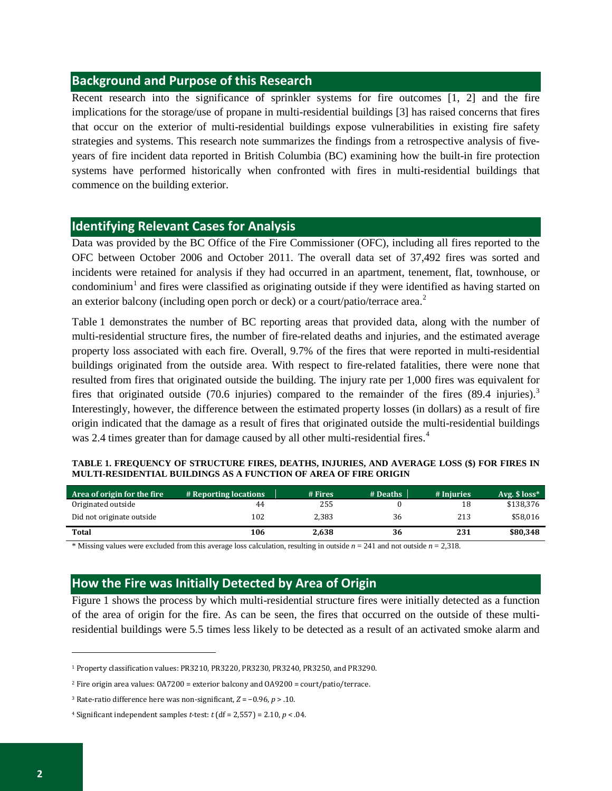### **Background and Purpose of this Research**

Recent research into the significance of sprinkler systems for fire outcomes [1, 2] and the fire implications for the storage/use of propane in multi-residential buildings [3] has raised concerns that fires that occur on the exterior of multi-residential buildings expose vulnerabilities in existing fire safety strategies and systems. This research note summarizes the findings from a retrospective analysis of fiveyears of fire incident data reported in British Columbia (BC) examining how the built-in fire protection systems have performed historically when confronted with fires in multi-residential buildings that commence on the building exterior.

#### **Identifying Relevant Cases for Analysis**

Data was provided by the BC Office of the Fire Commissioner (OFC), including all fires reported to the OFC between October 2006 and October 2011. The overall data set of 37,492 fires was sorted and incidents were retained for analysis if they had occurred in an apartment, tenement, flat, townhouse, or condominium<sup>[1](#page-3-0)</sup> and fires were classified as originating outside if they were identified as having started on an exterior balcony (including open porch or deck) or a court/patio/terrace area.<sup>[2](#page-3-1)</sup>

Table 1 demonstrates the number of BC reporting areas that provided data, along with the number of multi-residential structure fires, the number of fire-related deaths and injuries, and the estimated average property loss associated with each fire. Overall, 9.7% of the fires that were reported in multi-residential buildings originated from the outside area. With respect to fire-related fatalities, there were none that resulted from fires that originated outside the building. The injury rate per 1,000 fires was equivalent for fires that originated outside (70.6 injuries) compared to the remainder of the fires  $(89.4 \text{ injuries})$ . Interestingly, however, the difference between the estimated property losses (in dollars) as a result of fire origin indicated that the damage as a result of fires that originated outside the multi-residential buildings was 2.[4](#page-3-3) times greater than for damage caused by all other multi-residential fires.<sup>4</sup>

| TABLE 1. FREQUENCY OF STRUCTURE FIRES, DEATHS, INJURIES, AND AVERAGE LOSS (\$) FOR FIRES IN |  |  |
|---------------------------------------------------------------------------------------------|--|--|
| MULTI-RESIDENTIAL BUILDINGS AS A FUNCTION OF AREA OF FIRE ORIGIN                            |  |  |

| Area of origin for the fire | # Reporting locations | # Fires | # Deaths | # Injuries | Avg. $$loss*$ |
|-----------------------------|-----------------------|---------|----------|------------|---------------|
| Originated outside          | 44                    | 255     |          | 18         | \$138.376     |
| Did not originate outside   | 102                   | 2.383   | 36       | 213        | \$58.016      |
| <b>Total</b>                | 106                   | 2,638   | 36       | 231        | \$80.348      |

\* Missing values were excluded from this average loss calculation, resulting in outside  $n = 241$  and not outside  $n = 2,318$ .

# **How the Fire was Initially Detected by Area of Origin**

Figure 1 shows the process by which multi-residential structure fires were initially detected as a function of the area of origin for the fire. As can be seen, the fires that occurred on the outside of these multiresidential buildings were 5.5 times less likely to be detected as a result of an activated smoke alarm and

 $\overline{a}$ 

<span id="page-3-0"></span><sup>1</sup> Property classification values: PR3210, PR3220, PR3230, PR3240, PR3250, and PR3290.

<span id="page-3-1"></span><sup>2</sup> Fire origin area values: OA7200 = exterior balcony and OA9200 = court/patio/terrace.

<span id="page-3-2"></span><sup>3</sup> Rate-ratio difference here was non-significant, *Z* = −0.96, *p* > .10.

<span id="page-3-3"></span><sup>&</sup>lt;sup>4</sup> Significant independent samples *t*-test:  $t$  (df = 2,557) = 2.10,  $p$  < .04.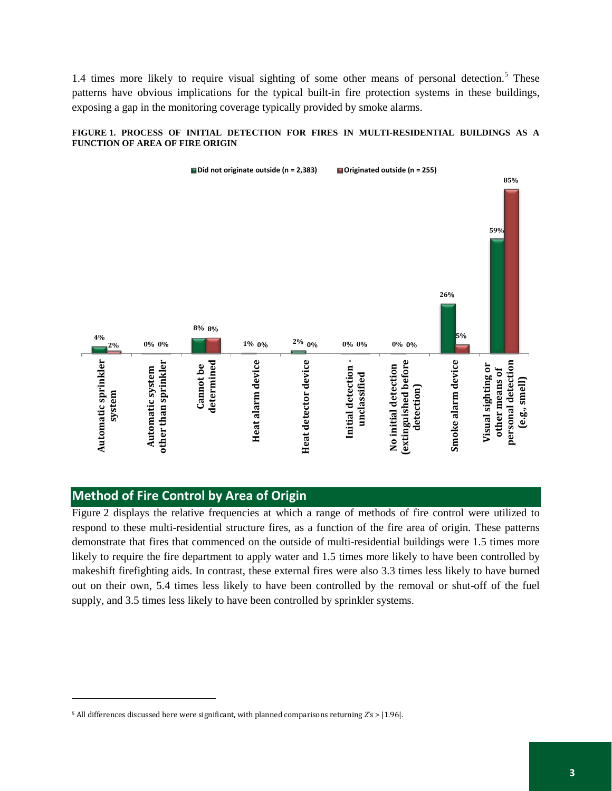1.4 times more likely to require visual sighting of some other means of personal detection.<sup>[5](#page-4-0)</sup> These patterns have obvious implications for the typical built-in fire protection systems in these buildings, exposing a gap in the monitoring coverage typically provided by smoke alarms.

#### **FIGURE 1. PROCESS OF INITIAL DETECTION FOR FIRES IN MULTI-RESIDENTIAL BUILDINGS AS A FUNCTION OF AREA OF FIRE ORIGIN**



### **Method of Fire Control by Area of Origin**

 $\overline{a}$ 

Figure 2 displays the relative frequencies at which a range of methods of fire control were utilized to respond to these multi-residential structure fires, as a function of the fire area of origin. These patterns demonstrate that fires that commenced on the outside of multi-residential buildings were 1.5 times more likely to require the fire department to apply water and 1.5 times more likely to have been controlled by makeshift firefighting aids. In contrast, these external fires were also 3.3 times less likely to have burned out on their own, 5.4 times less likely to have been controlled by the removal or shut-off of the fuel supply, and 3.5 times less likely to have been controlled by sprinkler systems.

<span id="page-4-0"></span><sup>5</sup> All differences discussed here were significant, with planned comparisons returning *Z*'s > |1.96|.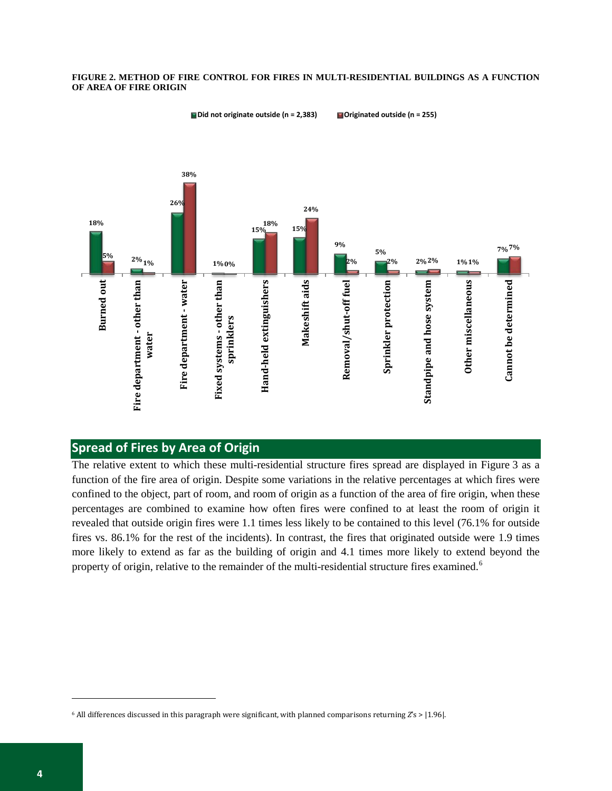#### **FIGURE 2. METHOD OF FIRE CONTROL FOR FIRES IN MULTI-RESIDENTIAL BUILDINGS AS A FUNCTION OF AREA OF FIRE ORIGIN**

■ Did not originate outside (n = 2,383) **■ Originated outside (n = 255)** 



## **Spread of Fires by Area of Origin**

The relative extent to which these multi-residential structure fires spread are displayed in Figure 3 as a function of the fire area of origin. Despite some variations in the relative percentages at which fires were confined to the object, part of room, and room of origin as a function of the area of fire origin, when these percentages are combined to examine how often fires were confined to at least the room of origin it revealed that outside origin fires were 1.1 times less likely to be contained to this level (76.1% for outside fires vs. 86.1% for the rest of the incidents). In contrast, the fires that originated outside were 1.9 times more likely to extend as far as the building of origin and 4.1 times more likely to extend beyond the property of origin, relative to the remainder of the multi-residential structure fires examined.<sup>[6](#page-5-0)</sup>

 $\overline{a}$ 

<span id="page-5-0"></span><sup>6</sup> All differences discussed in this paragraph were significant, with planned comparisons returning *Z*'s > |1.96|.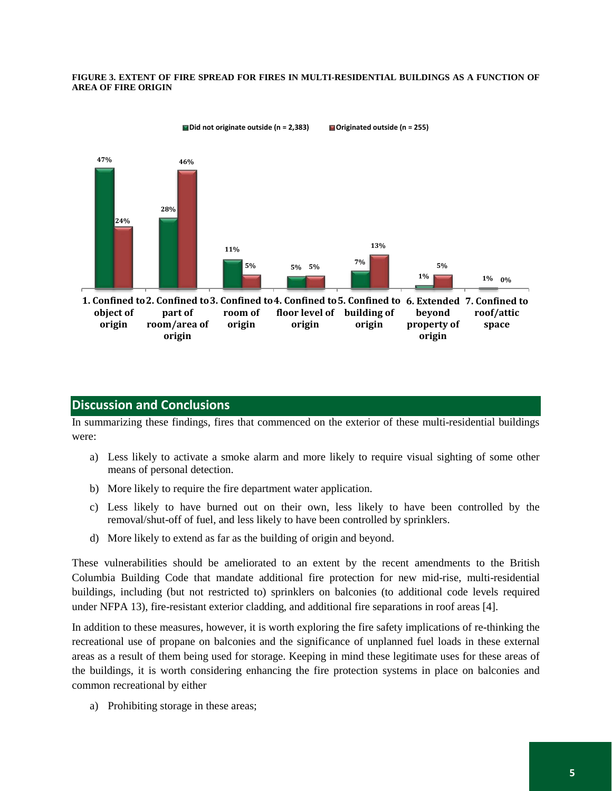#### **FIGURE 3. EXTENT OF FIRE SPREAD FOR FIRES IN MULTI-RESIDENTIAL BUILDINGS AS A FUNCTION OF AREA OF FIRE ORIGIN**



#### **Discussion and Conclusions**

In summarizing these findings, fires that commenced on the exterior of these multi-residential buildings were:

- a) Less likely to activate a smoke alarm and more likely to require visual sighting of some other means of personal detection.
- b) More likely to require the fire department water application.
- c) Less likely to have burned out on their own, less likely to have been controlled by the removal/shut-off of fuel, and less likely to have been controlled by sprinklers.
- d) More likely to extend as far as the building of origin and beyond.

These vulnerabilities should be ameliorated to an extent by the recent amendments to the British Columbia Building Code that mandate additional fire protection for new mid-rise, multi-residential buildings, including (but not restricted to) sprinklers on balconies (to additional code levels required under NFPA 13), fire-resistant exterior cladding, and additional fire separations in roof areas [4].

In addition to these measures, however, it is worth exploring the fire safety implications of re-thinking the recreational use of propane on balconies and the significance of unplanned fuel loads in these external areas as a result of them being used for storage. Keeping in mind these legitimate uses for these areas of the buildings, it is worth considering enhancing the fire protection systems in place on balconies and common recreational by either

a) Prohibiting storage in these areas;